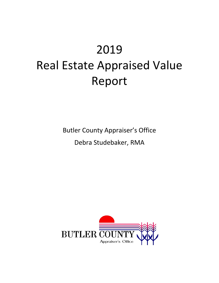# 2019 Real Estate Appraised Value Report

Butler County Appraiser's Office

Debra Studebaker, RMA

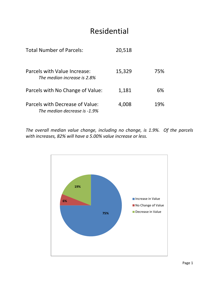### Residential

| <b>Total Number of Parcels:</b>                                 | 20,518 |     |
|-----------------------------------------------------------------|--------|-----|
| Parcels with Value Increase:<br>The median increase is 2.8%     | 15,329 | 75% |
| Parcels with No Change of Value:                                | 1,181  | 6%  |
| Parcels with Decrease of Value:<br>The median decrease is -1.9% | 4,008  | 19% |

*The overall median value change, including no change, is 1.9%. Of the parcels with increases, 82% will have a 5.00% value increase or less.*

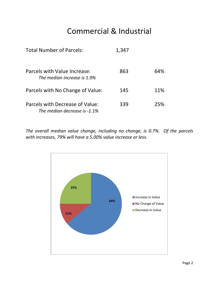## Commercial & Industrial

| <b>Total Number of Parcels:</b>                                 | 1,347 |     |
|-----------------------------------------------------------------|-------|-----|
| Parcels with Value Increase:<br>The median increase is 1.9%     | 863   | 64% |
| Parcels with No Change of Value:                                | 145   | 11% |
| Parcels with Decrease of Value:<br>The median decrease is -1.1% | 339   | 25% |

*The overall median value change, including no change, is 0.7%. Of the parcels with increases, 79% will have a 5.00% value increase or less.*

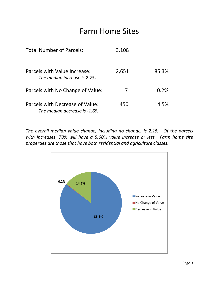#### Farm Home Sites

| <b>Total Number of Parcels:</b>                                 | 3,108 |       |
|-----------------------------------------------------------------|-------|-------|
| Parcels with Value Increase:<br>The median increase is 2.7%     | 2,651 | 85.3% |
| Parcels with No Change of Value:                                | 7     | 0.2%  |
| Parcels with Decrease of Value:<br>The median decrease is -1.6% | 450   | 14.5% |

*The overall median value change, including no change, is 2.1%. Of the parcels with increases, 78% will have a 5.00% value increase or less. Farm home site properties are those that have both residential and agriculture classes.*

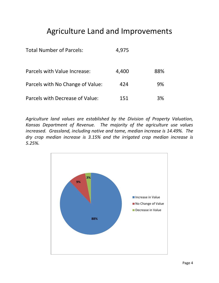# Agriculture Land and Improvements

| <b>Total Number of Parcels:</b>  | 4,975 |     |
|----------------------------------|-------|-----|
| Parcels with Value Increase:     | 4,400 | 88% |
| Parcels with No Change of Value: | 424   | 9%  |
| Parcels with Decrease of Value:  | 151   | 3%  |

*Agriculture land values are established by the Division of Property Valuation, Kansas Department of Revenue. The majority of the agriculture use values increased. Grassland, including native and tame, median increase is 14.49%. The dry crop median increase is 3.15% and the irrigated crop median increase is 5.25%.*

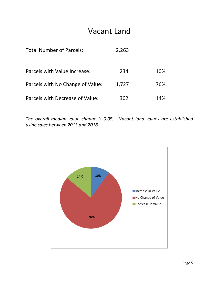#### Vacant Land

| <b>Total Number of Parcels:</b>  | 2,263 |     |
|----------------------------------|-------|-----|
| Parcels with Value Increase:     | 234   | 10% |
| Parcels with No Change of Value: | 1,727 | 76% |
| Parcels with Decrease of Value:  | 302   | 14% |

*The overall median value change is 0.0%. Vacant land values are established using sales between 2013 and 2018.*

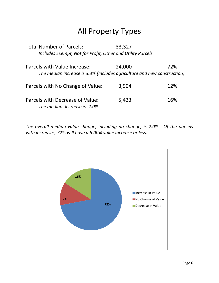# All Property Types

Total Number of Parcels: 33,327 *Includes Exempt, Not for Profit, Other and Utility Parcels* Parcels with Value Increase: 24,000 72% *The median increase is 3.3% (Includes agriculture and new construction)* Parcels with No Change of Value: 3,904 12% Parcels with Decrease of Value: 5,423 16% *The median decrease is -2.0%*

*The overall median value change, including no change, is 2.0%. Of the parcels with increases, 72% will have a 5.00% value increase or less.*

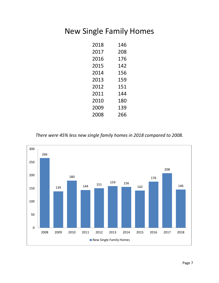## New Single Family Homes

| 2018 | 146 |
|------|-----|
| 2017 | 208 |
| 2016 | 176 |
| 2015 | 142 |
| 2014 | 156 |
| 2013 | 159 |
| 2012 | 151 |
| 2011 | 144 |
| 2010 | 180 |
| 2009 | 139 |
| 2008 | 266 |

*There were 45% less new single family homes in 2018 compared to 2008.*

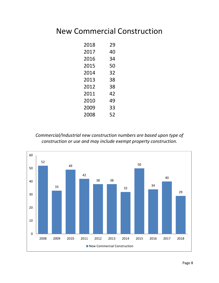### New Commercial Construction

| 2018 | 29 |
|------|----|
| 2017 | 40 |
| 2016 | 34 |
| 2015 | 50 |
| 2014 | 32 |
| 2013 | 38 |
| 2012 | 38 |
| 2011 | 42 |
| 2010 | 49 |
| 2009 | 33 |
| 2008 | 52 |

*Commercial/Industrial new construction numbers are based upon type of construction or use and may include exempt property construction.*

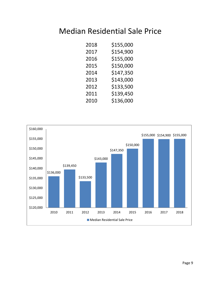#### Median Residential Sale Price

| 2018 | \$155,000 |
|------|-----------|
| 2017 | \$154,900 |
| 2016 | \$155,000 |
| 2015 | \$150,000 |
| 2014 | \$147,350 |
| 2013 | \$143,000 |
| 2012 | \$133,500 |
| 2011 | \$139,450 |
| 2010 | \$136,000 |